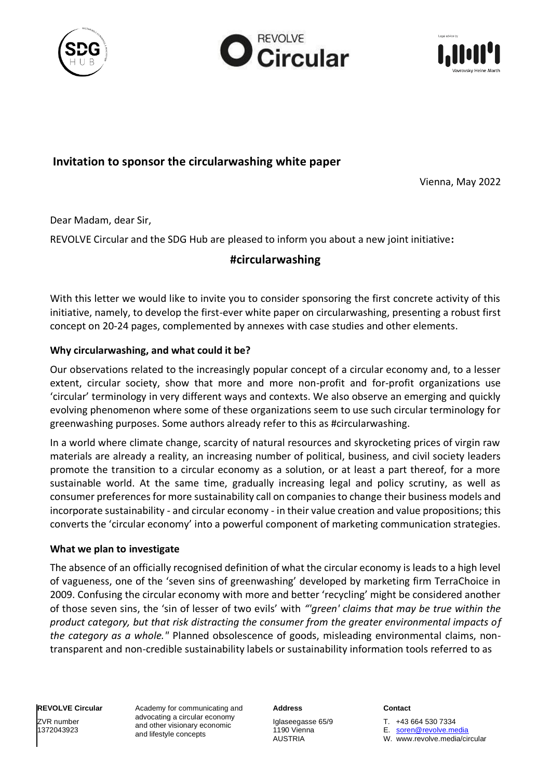





# **Invitation to sponsor the circularwashing white paper**

Vienna, May 2022

Dear Madam, dear Sir,

REVOLVE Circular and the SDG Hub are pleased to inform you about a new joint initiative**:**

# **#circularwashing**

With this letter we would like to invite you to consider sponsoring the first concrete activity of this initiative, namely, to develop the first-ever white paper on circularwashing, presenting a robust first concept on 20-24 pages, complemented by annexes with case studies and other elements.

### **Why circularwashing, and what could it be?**

Our observations related to the increasingly popular concept of a circular economy and, to a lesser extent, circular society, show that more and more non-profit and for-profit organizations use 'circular' terminology in very different ways and contexts. We also observe an emerging and quickly evolving phenomenon where some of these organizations seem to use such circular terminology for greenwashing purposes. Some authors already refer to this as #circularwashing.

In a world where climate change, scarcity of natural resources and skyrocketing prices of virgin raw materials are already a reality, an increasing number of political, business, and civil society leaders promote the transition to a circular economy as a solution, or at least a part thereof, for a more sustainable world. At the same time, gradually increasing legal and policy scrutiny, as well as consumer preferences for more sustainability call on companies to change their business models and incorporate sustainability - and circular economy - in their value creation and value propositions; this converts the 'circular economy' into a powerful component of marketing communication strategies.

### **What we plan to investigate**

The absence of an officially recognised definition of what the circular economy is leads to a high level of vagueness, one of the 'seven sins of greenwashing' developed by marketing firm TerraChoice in 2009. Confusing the circular economy with more and better 'recycling' might be considered another of those seven sins, the 'sin of lesser of two evils' with *"'green' claims that may be true within the product category, but that risk distracting the consumer from the greater environmental impacts of the category as a whole."* Planned obsolescence of goods, misleading environmental claims, nontransparent and non-credible sustainability labels or sustainability information tools referred to as

**REVOLVE Circular** ZVR number

1372043923

Academy for communicating and advocating a circular economy and other visionary economic and lifestyle concepts

**Address**

Iglaseegasse 65/9 1190 Vienna AUSTRIA

#### **Contact**

T. +43 664 530 7334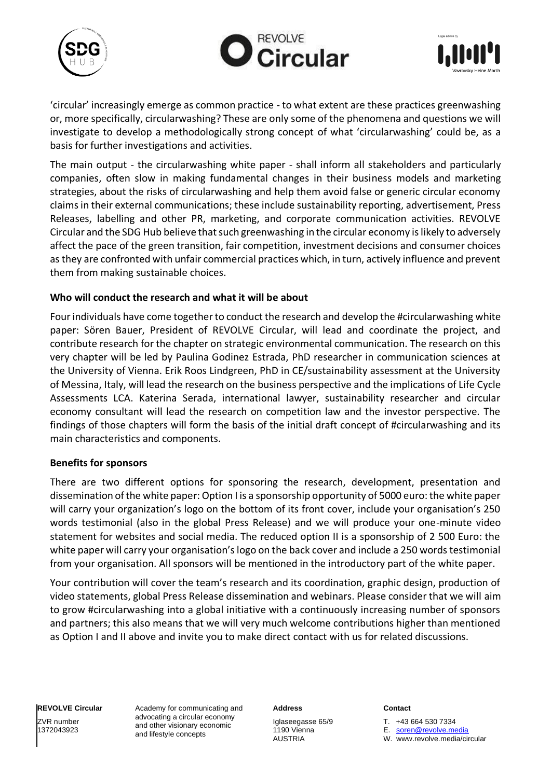





'circular' increasingly emerge as common practice - to what extent are these practices greenwashing or, more specifically, circularwashing? These are only some of the phenomena and questions we will investigate to develop a methodologically strong concept of what 'circularwashing' could be, as a basis for further investigations and activities.

The main output - the circularwashing white paper - shall inform all stakeholders and particularly companies, often slow in making fundamental changes in their business models and marketing strategies, about the risks of circularwashing and help them avoid false or generic circular economy claims in their external communications; these include sustainability reporting, advertisement, Press Releases, labelling and other PR, marketing, and corporate communication activities. REVOLVE Circular and the SDG Hub believe that such greenwashing in the circular economy is likely to adversely affect the pace of the green transition, fair competition, investment decisions and consumer choices as they are confronted with unfair commercial practices which, in turn, actively influence and prevent them from making sustainable choices.

### **Who will conduct the research and what it will be about**

Four individuals have come together to conduct the research and develop the #circularwashing white paper: Sören Bauer, President of REVOLVE Circular, will lead and coordinate the project, and contribute research for the chapter on strategic environmental communication. The research on this very chapter will be led by Paulina Godinez Estrada, PhD researcher in communication sciences at the University of Vienna. Erik Roos Lindgreen, PhD in CE/sustainability assessment at the University of Messina, Italy, will lead the research on the business perspective and the implications of Life Cycle Assessments LCA. Katerina Serada, international lawyer, sustainability researcher and circular economy consultant will lead the research on competition law and the investor perspective. The findings of those chapters will form the basis of the initial draft concept of #circularwashing and its main characteristics and components.

### **Benefits for sponsors**

There are two different options for sponsoring the research, development, presentation and dissemination of the white paper: Option I is a sponsorship opportunity of 5000 euro: the white paper will carry your organization's logo on the bottom of its front cover, include your organisation's 250 words testimonial (also in the global Press Release) and we will produce your one-minute video statement for websites and social media. The reduced option II is a sponsorship of 2 500 Euro: the white paper will carry your organisation's logo on the back cover and include a 250 words testimonial from your organisation. All sponsors will be mentioned in the introductory part of the white paper.

Your contribution will cover the team's research and its coordination, graphic design, production of video statements, global Press Release dissemination and webinars. Please consider that we will aim to grow #circularwashing into a global initiative with a continuously increasing number of sponsors and partners; this also means that we will very much welcome contributions higher than mentioned as Option I and II above and invite you to make direct contact with us for related discussions.

**REVOLVE Circular** ZVR number

1372043923

Academy for communicating and advocating a circular economy and other visionary economic and lifestyle concepts

**Address**

Iglaseegasse 65/9 1190 Vienna AUSTRIA

#### **Contact**

T. +43 664 530 7334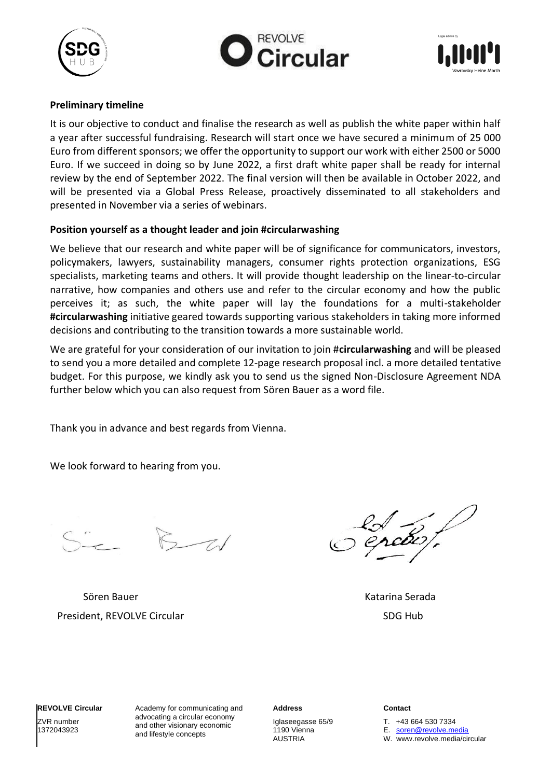





### **Preliminary timeline**

It is our objective to conduct and finalise the research as well as publish the white paper within half a year after successful fundraising. Research will start once we have secured a minimum of 25 000 Euro from different sponsors; we offer the opportunity to support our work with either 2500 or 5000 Euro. If we succeed in doing so by June 2022, a first draft white paper shall be ready for internal review by the end of September 2022. The final version will then be available in October 2022, and will be presented via a Global Press Release, proactively disseminated to all stakeholders and presented in November via a series of webinars.

### **Position yourself as a thought leader and join #circularwashing**

We believe that our research and white paper will be of significance for communicators, investors, policymakers, lawyers, sustainability managers, consumer rights protection organizations, ESG specialists, marketing teams and others. It will provide thought leadership on the linear-to-circular narrative, how companies and others use and refer to the circular economy and how the public perceives it; as such, the white paper will lay the foundations for a multi-stakeholder **#circularwashing** initiative geared towards supporting various stakeholders in taking more informed decisions and contributing to the transition towards a more sustainable world.

We are grateful for your consideration of our invitation to join #**circularwashing** and will be pleased to send you a more detailed and complete 12-page research proposal incl. a more detailed tentative budget. For this purpose, we kindly ask you to send us the signed Non-Disclosure Agreement NDA further below which you can also request from Sören Bauer as a word file.

Thank you in advance and best regards from Vienna.

We look forward to hearing from you.

 $5 - 21$ 

Sören Bauer Katarina Serada (Katarina Serada Katarina Serada Katarina Serada Katarina Serada Katarina Serada K President, REVOLVE Circular SDG Hubbs and SDG Hubbs and SDG Hubbs and SDG Hubbs and SDG Hubbs and SDG Hubbs and SDG Hubbs and SDG Hubbs and SDG Hubbs and SDG Hubbs and SDG Hubbs and SDG Hubbs and SDG Hubbs and SDG Hubbs an

1372043923

Academy for communicating and advocating a circular economy and other visionary economic and lifestyle concepts

#### **Address**

Iglaseegasse 65/9 1190 Vienna AUSTRIA

#### **Contact**

T. +43 664 530 7334